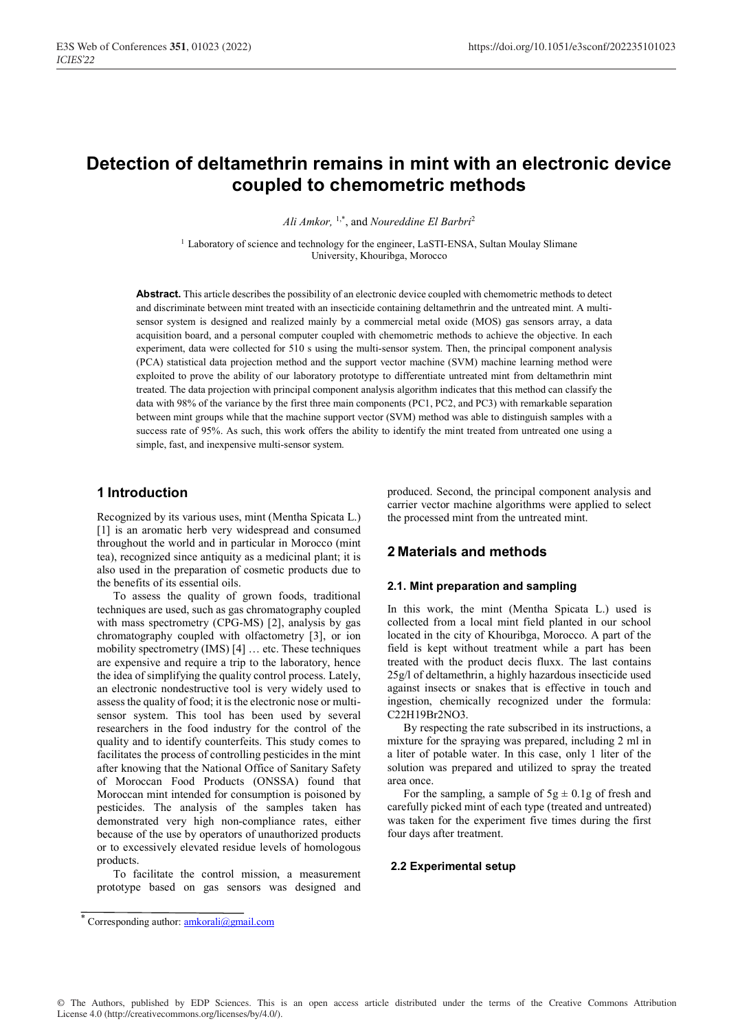# **Detection of deltamethrin remains in mint with an electronic device coupled to chemometric methods**

*Ali Amkor,* 1,\*, and *Noureddine El Barbri*<sup>2</sup>

<sup>1</sup> Laboratory of science and technology for the engineer, LaSTI-ENSA, Sultan Moulay Slimane University, Khouribga, Morocco

**Abstract.** This article describes the possibility of an electronic device coupled with chemometric methods to detect and discriminate between mint treated with an insecticide containing deltamethrin and the untreated mint. A multisensor system is designed and realized mainly by a commercial metal oxide (MOS) gas sensors array, a data acquisition board, and a personal computer coupled with chemometric methods to achieve the objective. In each experiment, data were collected for 510 s using the multi-sensor system. Then, the principal component analysis (PCA) statistical data projection method and the support vector machine (SVM) machine learning method were exploited to prove the ability of our laboratory prototype to differentiate untreated mint from deltamethrin mint treated. The data projection with principal component analysis algorithm indicates that this method can classify the data with 98% of the variance by the first three main components (PC1, PC2, and PC3) with remarkable separation between mint groups while that the machine support vector (SVM) method was able to distinguish samples with a success rate of 95%. As such, this work offers the ability to identify the mint treated from untreated one using a simple, fast, and inexpensive multi-sensor system.

### **1 Introduction**

Recognized by its various uses, mint (Mentha Spicata L.) [1] is an aromatic herb very widespread and consumed throughout the world and in particular in Morocco (mint tea), recognized since antiquity as a medicinal plant; it is also used in the preparation of cosmetic products due to the benefits of its essential oils.

 To assess the quality of grown foods, traditional techniques are used, such as gas chromatography coupled with mass spectrometry (CPG-MS) [2], analysis by gas chromatography coupled with olfactometry [3], or ion mobility spectrometry (IMS) [4] … etc. These techniques are expensive and require a trip to the laboratory, hence the idea of simplifying the quality control process. Lately, an electronic nondestructive tool is very widely used to assess the quality of food; it is the electronic nose or multisensor system. This tool has been used by several researchers in the food industry for the control of the quality and to identify counterfeits. This study comes to facilitates the process of controlling pesticides in the mint after knowing that the National Office of Sanitary Safety of Moroccan Food Products (ONSSA) found that Moroccan mint intended for consumption is poisoned by pesticides. The analysis of the samples taken has demonstrated very high non-compliance rates, either because of the use by operators of unauthorized products or to excessively elevated residue levels of homologous products.

 To facilitate the control mission, a measurement prototype based on gas sensors was designed and produced. Second, the principal component analysis and carrier vector machine algorithms were applied to select the processed mint from the untreated mint.

### **2 Materials and methods**

#### **2.1. Mint preparation and sampling**

In this work, the mint (Mentha Spicata L.) used is collected from a local mint field planted in our school located in the city of Khouribga, Morocco. A part of the field is kept without treatment while a part has been treated with the product decis fluxx. The last contains 25g/l of deltamethrin, a highly hazardous insecticide used against insects or snakes that is effective in touch and ingestion, chemically recognized under the formula: C22H19Br2NO3.

 By respecting the rate subscribed in its instructions, a mixture for the spraying was prepared, including 2 ml in a liter of potable water. In this case, only 1 liter of the solution was prepared and utilized to spray the treated area once.

For the sampling, a sample of  $5g \pm 0.1g$  of fresh and carefully picked mint of each type (treated and untreated) was taken for the experiment five times during the first four days after treatment.

#### **2.2 Experimental setup**

<sup>\*</sup> Corresponding author: **amkorali@gmail.com**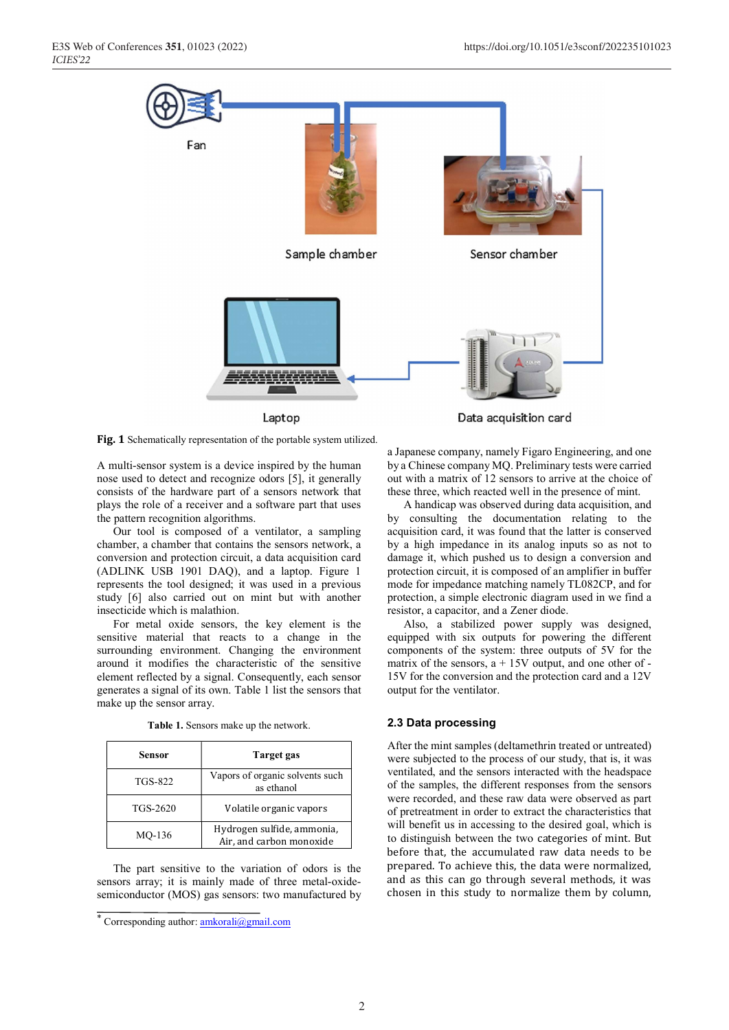

Laptop

Data acquisition card

Fig. 1 Schematically representation of the portable system utilized.

A multi-sensor system is a device inspired by the human nose used to detect and recognize odors [5], it generally consists of the hardware part of a sensors network that plays the role of a receiver and a software part that uses the pattern recognition algorithms.

 Our tool is composed of a ventilator, a sampling chamber, a chamber that contains the sensors network, a conversion and protection circuit, a data acquisition card (ADLINK USB 1901 DAQ), and a laptop. Figure 1 represents the tool designed; it was used in a previous study [6] also carried out on mint but with another insecticide which is malathion.

For metal oxide sensors, the key element is the sensitive material that reacts to a change in the surrounding environment. Changing the environment around it modifies the characteristic of the sensitive element reflected by a signal. Consequently, each sensor generates a signal of its own. Table 1 list the sensors that make up the sensor array.

| Sensor         | Target gas                                             |
|----------------|--------------------------------------------------------|
| <b>TGS-822</b> | Vapors of organic solvents such<br>as ethanol          |
| TGS-2620       | Volatile organic vapors                                |
| MO-136         | Hydrogen sulfide, ammonia,<br>Air, and carbon monoxide |

**Table 1.** Sensors make up the network.

The part sensitive to the variation of odors is the sensors array; it is mainly made of three metal-oxidesemiconductor (MOS) gas sensors: two manufactured by a Japanese company, namely Figaro Engineering, and one by a Chinese company MQ. Preliminary tests were carried out with a matrix of 12 sensors to arrive at the choice of these three, which reacted well in the presence of mint.

 A handicap was observed during data acquisition, and by consulting the documentation relating to the acquisition card, it was found that the latter is conserved by a high impedance in its analog inputs so as not to damage it, which pushed us to design a conversion and protection circuit, it is composed of an amplifier in buffer mode for impedance matching namely TL082CP, and for protection, a simple electronic diagram used in we find a resistor, a capacitor, and a Zener diode.

 Also, a stabilized power supply was designed, equipped with six outputs for powering the different components of the system: three outputs of 5V for the matrix of the sensors,  $a + 15V$  output, and one other of -15V for the conversion and the protection card and a 12V output for the ventilator.

### **2.3 Data processing**

After the mint samples (deltamethrin treated or untreated) were subjected to the process of our study, that is, it was ventilated, and the sensors interacted with the headspace of the samples, the different responses from the sensors were recorded, and these raw data were observed as part of pretreatment in order to extract the characteristics that will benefit us in accessing to the desired goal, which is to distinguish between the two categories of mint. But before that, the accumulated raw data needs to be prepared. To achieve this, the data were normalized, and as this can go through several methods, it was chosen in this study to normalize them by column,

<sup>\*</sup> Corresponding author: amkorali@gmail.com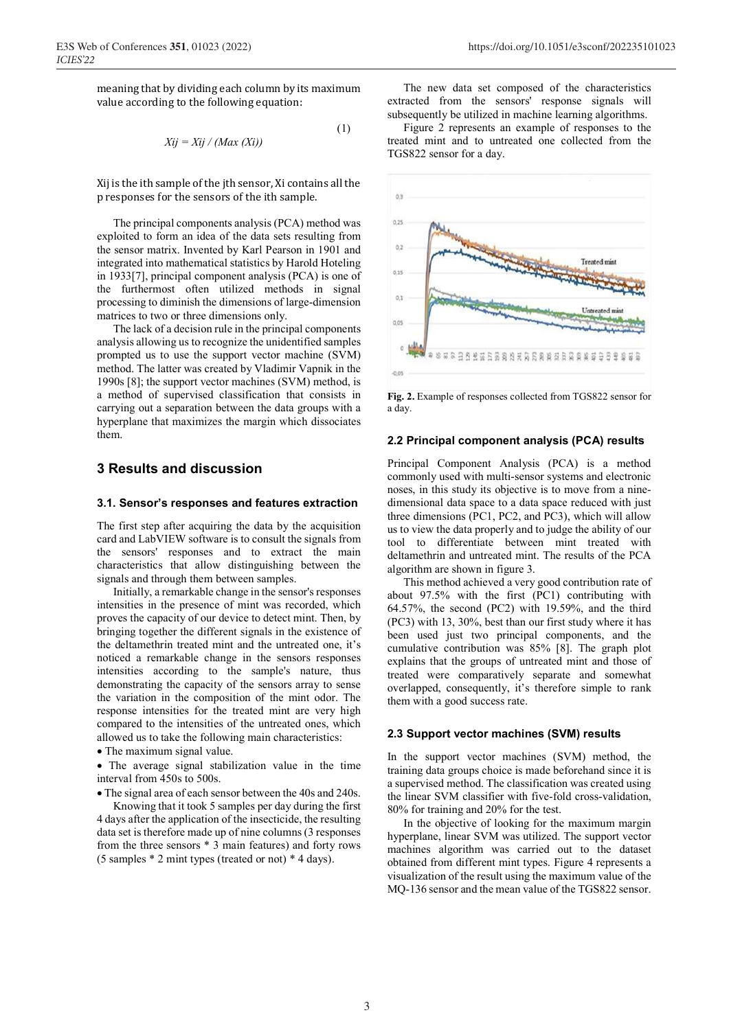meaning that by dividing each column by its maximum value according to the following equation:

$$
Xij = Xij / (Max(Xi))
$$
\n(1)

Xij is the ith sample of the jth sensor, Xi contains all the p responses for the sensors of the ith sample.

The principal components analysis (PCA) method was exploited to form an idea of the data sets resulting from the sensor matrix. Invented by Karl Pearson in 1901 and integrated into mathematical statistics by Harold Hoteling in 1933[7], principal component analysis (PCA) is one of the furthermost often utilized methods in signal processing to diminish the dimensions of large-dimension matrices to two or three dimensions only.

The lack of a decision rule in the principal components analysis allowing us to recognize the unidentified samples prompted us to use the support vector machine (SVM) method. The latter was created by Vladimir Vapnik in the 1990s [8]; the support vector machines (SVM) method, is a method of supervised classification that consists in carrying out a separation between the data groups with a hyperplane that maximizes the margin which dissociates them.

# **3 Results and discussion**

#### **3.1. Sensor's responses and features extraction**

The first step after acquiring the data by the acquisition card and LabVIEW software is to consult the signals from the sensors' responses and to extract the main characteristics that allow distinguishing between the signals and through them between samples.

 Initially, a remarkable change in the sensor's responses intensities in the presence of mint was recorded, which proves the capacity of our device to detect mint. Then, by bringing together the different signals in the existence of the deltamethrin treated mint and the untreated one, it's noticed a remarkable change in the sensors responses intensities according to the sample's nature, thus demonstrating the capacity of the sensors array to sense the variation in the composition of the mint odor. The response intensities for the treated mint are very high compared to the intensities of the untreated ones, which allowed us to take the following main characteristics:

• The maximum signal value.

 The average signal stabilization value in the time interval from 450s to 500s.

The signal area of each sensor between the 40s and 240s.

 Knowing that it took 5 samples per day during the first 4 days after the application of the insecticide, the resulting data set is therefore made up of nine columns (3 responses from the three sensors \* 3 main features) and forty rows (5 samples \* 2 mint types (treated or not) \* 4 days).

 The new data set composed of the characteristics extracted from the sensors' response signals will subsequently be utilized in machine learning algorithms.

 Figure 2 represents an example of responses to the treated mint and to untreated one collected from the TGS822 sensor for a day.



**Fig. 2.** Example of responses collected from TGS822 sensor for a day.

### **2.2 Principal component analysis (PCA) results**

Principal Component Analysis (PCA) is a method commonly used with multi-sensor systems and electronic noses, in this study its objective is to move from a ninedimensional data space to a data space reduced with just three dimensions (PC1, PC2, and PC3), which will allow us to view the data properly and to judge the ability of our tool to differentiate between mint treated with deltamethrin and untreated mint. The results of the PCA algorithm are shown in figure 3.

 This method achieved a very good contribution rate of about 97.5% with the first (PC1) contributing with 64.57%, the second (PC2) with 19.59%, and the third (PC3) with 13, 30%, best than our first study where it has been used just two principal components, and the cumulative contribution was 85% [8]. The graph plot explains that the groups of untreated mint and those of treated were comparatively separate and somewhat overlapped, consequently, it's therefore simple to rank them with a good success rate.

### **2.3 Support vector machines (SVM) results**

In the support vector machines (SVM) method, the training data groups choice is made beforehand since it is a supervised method. The classification was created using the linear SVM classifier with five-fold cross-validation, 80% for training and 20% for the test.

 In the objective of looking for the maximum margin hyperplane, linear SVM was utilized. The support vector machines algorithm was carried out to the dataset obtained from different mint types. Figure 4 represents a visualization of the result using the maximum value of the MQ-136 sensor and the mean value of the TGS822 sensor.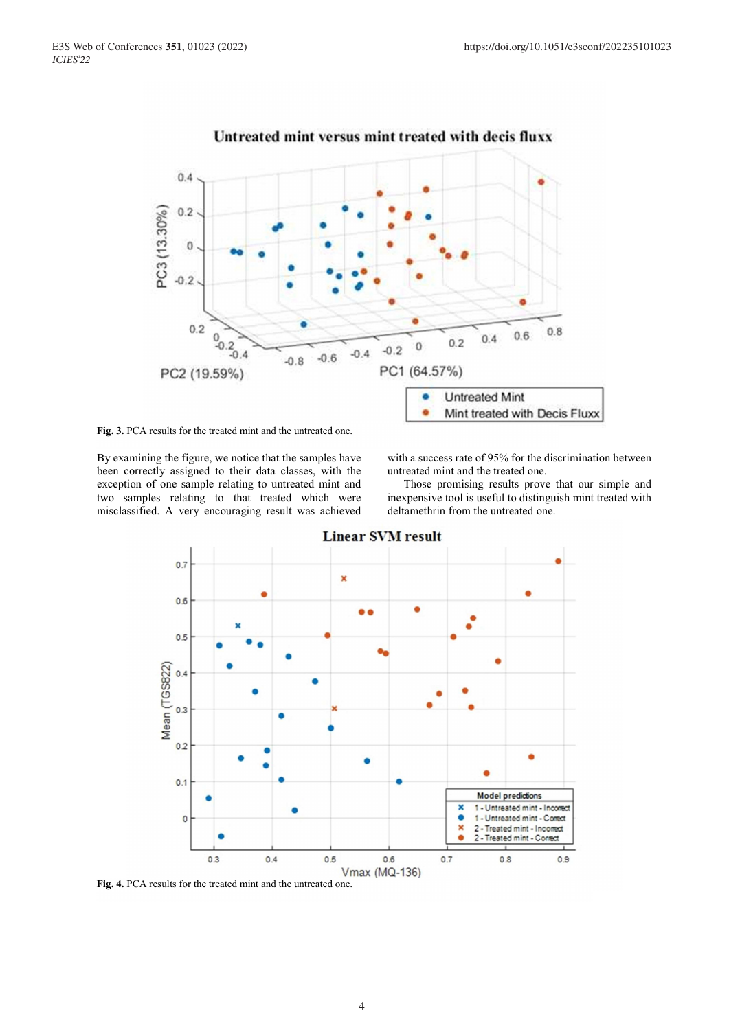

Untreated mint versus mint treated with decis fluxx

**Fig. 3.** PCA results for the treated mint and the untreated one.

By examining the figure, we notice that the samples have been correctly assigned to their data classes, with the exception of one sample relating to untreated mint and two samples relating to that treated which were misclassified. A very encouraging result was achieved

with a success rate of 95% for the discrimination between untreated mint and the treated one.

 Those promising results prove that our simple and inexpensive tool is useful to distinguish mint treated with deltamethrin from the untreated one.



**Linear SVM result** 

**Fig. 4.** PCA results for the treated mint and the untreated one.